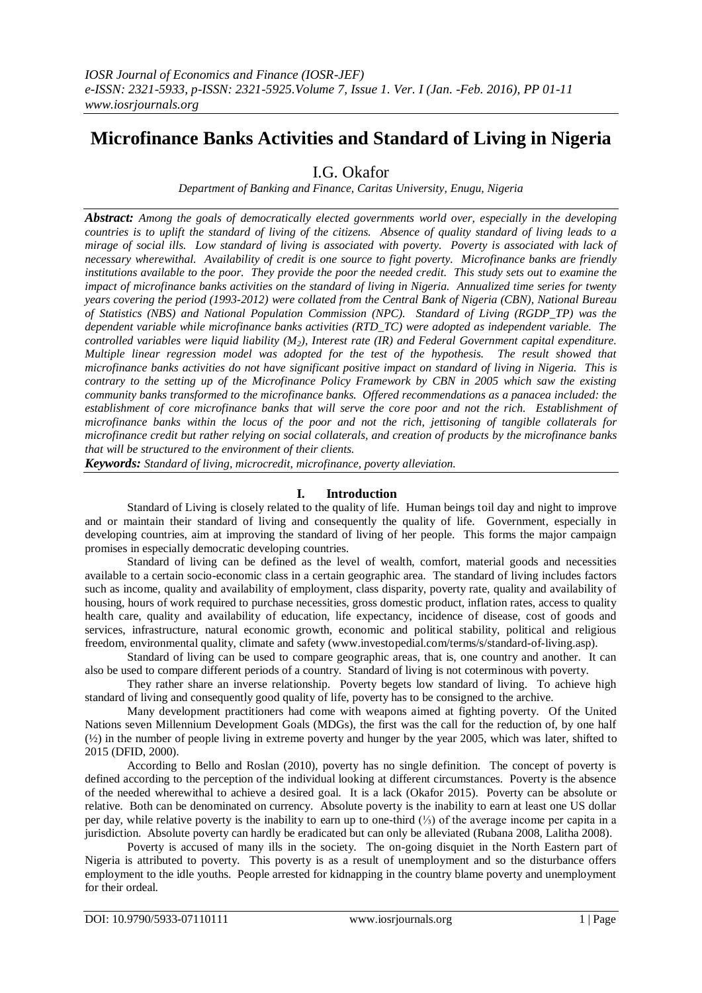# **Microfinance Banks Activities and Standard of Living in Nigeria**

I.G. Okafor

*Department of Banking and Finance, Caritas University, Enugu, Nigeria* 

*Abstract: Among the goals of democratically elected governments world over, especially in the developing countries is to uplift the standard of living of the citizens. Absence of quality standard of living leads to a mirage of social ills. Low standard of living is associated with poverty. Poverty is associated with lack of necessary wherewithal. Availability of credit is one source to fight poverty. Microfinance banks are friendly institutions available to the poor. They provide the poor the needed credit. This study sets out to examine the impact of microfinance banks activities on the standard of living in Nigeria. Annualized time series for twenty years covering the period (1993-2012) were collated from the Central Bank of Nigeria (CBN), National Bureau of Statistics (NBS) and National Population Commission (NPC). Standard of Living (RGDP\_TP) was the dependent variable while microfinance banks activities (RTD\_TC) were adopted as independent variable. The controlled variables were liquid liability (M2), Interest rate (IR) and Federal Government capital expenditure. Multiple linear regression model was adopted for the test of the hypothesis. The result showed that microfinance banks activities do not have significant positive impact on standard of living in Nigeria. This is contrary to the setting up of the Microfinance Policy Framework by CBN in 2005 which saw the existing community banks transformed to the microfinance banks. Offered recommendations as a panacea included: the*  establishment of core microfinance banks that will serve the core poor and not the rich. Establishment of *microfinance banks within the locus of the poor and not the rich, jettisoning of tangible collaterals for microfinance credit but rather relying on social collaterals, and creation of products by the microfinance banks that will be structured to the environment of their clients.*

*Keywords: Standard of living, microcredit, microfinance, poverty alleviation.*

#### **I. Introduction**

Standard of Living is closely related to the quality of life. Human beings toil day and night to improve and or maintain their standard of living and consequently the quality of life. Government, especially in developing countries, aim at improving the standard of living of her people. This forms the major campaign promises in especially democratic developing countries.

Standard of living can be defined as the level of wealth, comfort, material goods and necessities available to a certain socio-economic class in a certain geographic area. The standard of living includes factors such as income, quality and availability of employment, class disparity, poverty rate, quality and availability of housing, hours of work required to purchase necessities, gross domestic product, inflation rates, access to quality health care, quality and availability of education, life expectancy, incidence of disease, cost of goods and services, infrastructure, natural economic growth, economic and political stability, political and religious freedom, environmental quality, climate and safety (www.investopedial.com/terms/s/standard-of-living.asp).

Standard of living can be used to compare geographic areas, that is, one country and another. It can also be used to compare different periods of a country. Standard of living is not coterminous with poverty.

They rather share an inverse relationship. Poverty begets low standard of living. To achieve high standard of living and consequently good quality of life, poverty has to be consigned to the archive.

Many development practitioners had come with weapons aimed at fighting poverty. Of the United Nations seven Millennium Development Goals (MDGs), the first was the call for the reduction of, by one half (½) in the number of people living in extreme poverty and hunger by the year 2005, which was later, shifted to 2015 (DFID, 2000).

According to Bello and Roslan (2010), poverty has no single definition. The concept of poverty is defined according to the perception of the individual looking at different circumstances. Poverty is the absence of the needed wherewithal to achieve a desired goal. It is a lack (Okafor 2015). Poverty can be absolute or relative. Both can be denominated on currency. Absolute poverty is the inability to earn at least one US dollar per day, while relative poverty is the inability to earn up to one-third (⅓) of the average income per capita in a jurisdiction. Absolute poverty can hardly be eradicated but can only be alleviated (Rubana 2008, Lalitha 2008).

Poverty is accused of many ills in the society. The on-going disquiet in the North Eastern part of Nigeria is attributed to poverty. This poverty is as a result of unemployment and so the disturbance offers employment to the idle youths. People arrested for kidnapping in the country blame poverty and unemployment for their ordeal.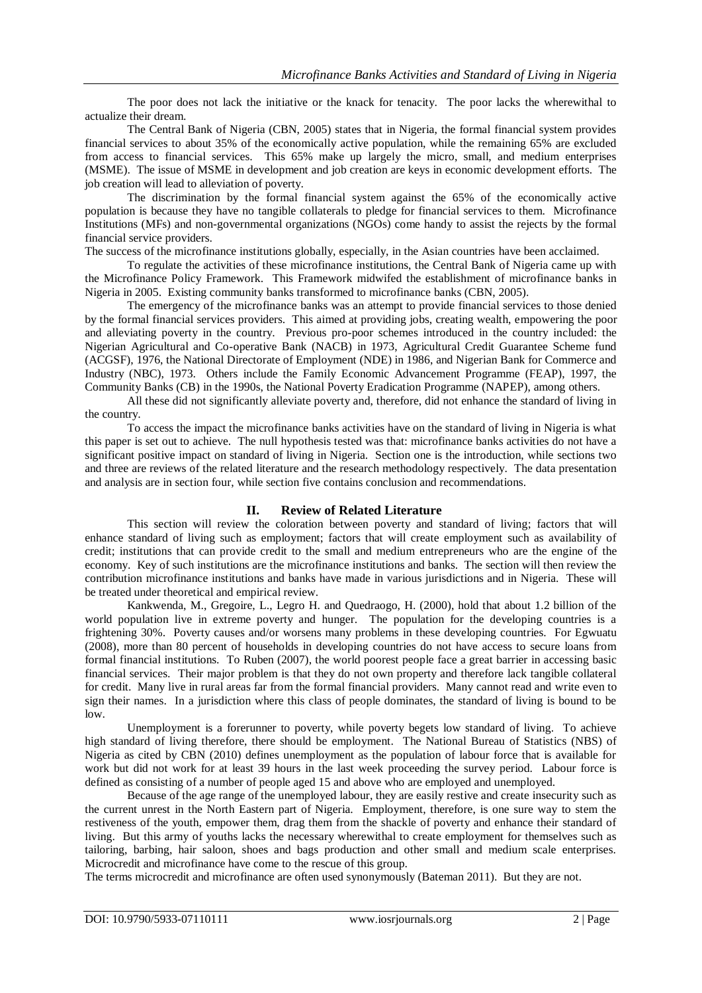The poor does not lack the initiative or the knack for tenacity. The poor lacks the wherewithal to actualize their dream.

The Central Bank of Nigeria (CBN, 2005) states that in Nigeria, the formal financial system provides financial services to about 35% of the economically active population, while the remaining 65% are excluded from access to financial services. This 65% make up largely the micro, small, and medium enterprises (MSME). The issue of MSME in development and job creation are keys in economic development efforts. The job creation will lead to alleviation of poverty.

The discrimination by the formal financial system against the 65% of the economically active population is because they have no tangible collaterals to pledge for financial services to them. Microfinance Institutions (MFs) and non-governmental organizations (NGOs) come handy to assist the rejects by the formal financial service providers.

The success of the microfinance institutions globally, especially, in the Asian countries have been acclaimed.

To regulate the activities of these microfinance institutions, the Central Bank of Nigeria came up with the Microfinance Policy Framework. This Framework midwifed the establishment of microfinance banks in Nigeria in 2005. Existing community banks transformed to microfinance banks (CBN, 2005).

The emergency of the microfinance banks was an attempt to provide financial services to those denied by the formal financial services providers. This aimed at providing jobs, creating wealth, empowering the poor and alleviating poverty in the country. Previous pro-poor schemes introduced in the country included: the Nigerian Agricultural and Co-operative Bank (NACB) in 1973, Agricultural Credit Guarantee Scheme fund (ACGSF), 1976, the National Directorate of Employment (NDE) in 1986, and Nigerian Bank for Commerce and Industry (NBC), 1973. Others include the Family Economic Advancement Programme (FEAP), 1997, the Community Banks (CB) in the 1990s, the National Poverty Eradication Programme (NAPEP), among others.

All these did not significantly alleviate poverty and, therefore, did not enhance the standard of living in the country.

To access the impact the microfinance banks activities have on the standard of living in Nigeria is what this paper is set out to achieve. The null hypothesis tested was that: microfinance banks activities do not have a significant positive impact on standard of living in Nigeria. Section one is the introduction, while sections two and three are reviews of the related literature and the research methodology respectively. The data presentation and analysis are in section four, while section five contains conclusion and recommendations.

# **II. Review of Related Literature**

This section will review the coloration between poverty and standard of living; factors that will enhance standard of living such as employment; factors that will create employment such as availability of credit; institutions that can provide credit to the small and medium entrepreneurs who are the engine of the economy. Key of such institutions are the microfinance institutions and banks. The section will then review the contribution microfinance institutions and banks have made in various jurisdictions and in Nigeria. These will be treated under theoretical and empirical review.

Kankwenda, M., Gregoire, L., Legro H. and Quedraogo, H. (2000), hold that about 1.2 billion of the world population live in extreme poverty and hunger. The population for the developing countries is a frightening 30%. Poverty causes and/or worsens many problems in these developing countries. For Egwuatu (2008), more than 80 percent of households in developing countries do not have access to secure loans from formal financial institutions. To Ruben (2007), the world poorest people face a great barrier in accessing basic financial services. Their major problem is that they do not own property and therefore lack tangible collateral for credit. Many live in rural areas far from the formal financial providers. Many cannot read and write even to sign their names. In a jurisdiction where this class of people dominates, the standard of living is bound to be low.

Unemployment is a forerunner to poverty, while poverty begets low standard of living. To achieve high standard of living therefore, there should be employment. The National Bureau of Statistics (NBS) of Nigeria as cited by CBN (2010) defines unemployment as the population of labour force that is available for work but did not work for at least 39 hours in the last week proceeding the survey period. Labour force is defined as consisting of a number of people aged 15 and above who are employed and unemployed.

Because of the age range of the unemployed labour, they are easily restive and create insecurity such as the current unrest in the North Eastern part of Nigeria. Employment, therefore, is one sure way to stem the restiveness of the youth, empower them, drag them from the shackle of poverty and enhance their standard of living. But this army of youths lacks the necessary wherewithal to create employment for themselves such as tailoring, barbing, hair saloon, shoes and bags production and other small and medium scale enterprises. Microcredit and microfinance have come to the rescue of this group.

The terms microcredit and microfinance are often used synonymously (Bateman 2011). But they are not.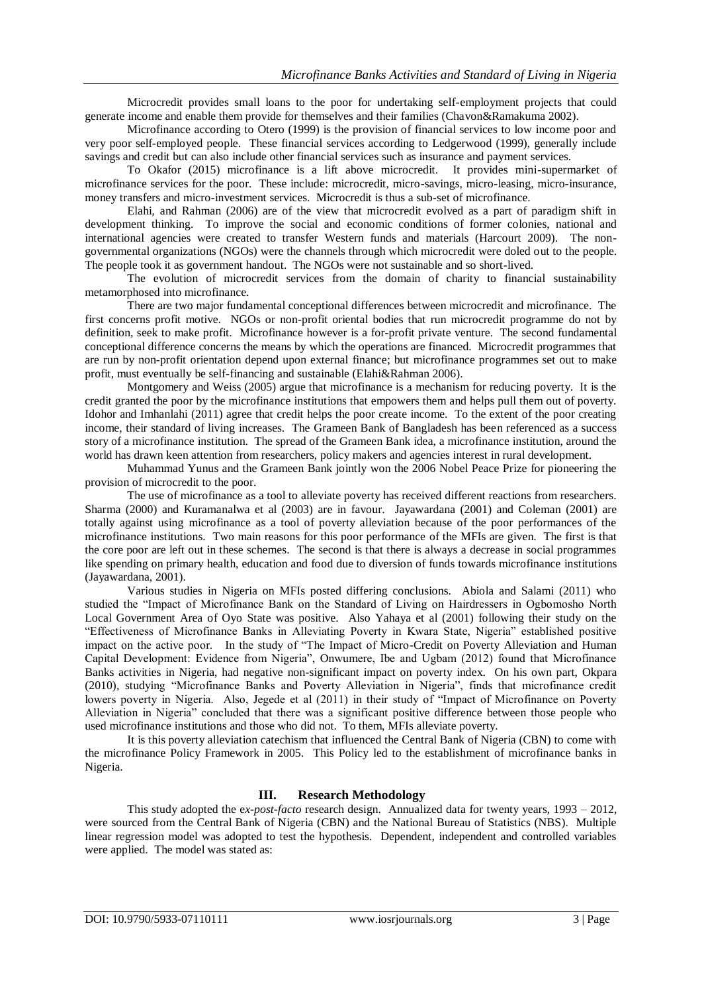Microcredit provides small loans to the poor for undertaking self-employment projects that could generate income and enable them provide for themselves and their families (Chavon&Ramakuma 2002).

Microfinance according to Otero (1999) is the provision of financial services to low income poor and very poor self-employed people. These financial services according to Ledgerwood (1999), generally include savings and credit but can also include other financial services such as insurance and payment services.

To Okafor (2015) microfinance is a lift above microcredit. It provides mini-supermarket of microfinance services for the poor. These include: microcredit, micro-savings, micro-leasing, micro-insurance, money transfers and micro-investment services. Microcredit is thus a sub-set of microfinance.

Elahi, and Rahman (2006) are of the view that microcredit evolved as a part of paradigm shift in development thinking. To improve the social and economic conditions of former colonies, national and international agencies were created to transfer Western funds and materials (Harcourt 2009). The nongovernmental organizations (NGOs) were the channels through which microcredit were doled out to the people. The people took it as government handout. The NGOs were not sustainable and so short-lived.

The evolution of microcredit services from the domain of charity to financial sustainability metamorphosed into microfinance.

There are two major fundamental conceptional differences between microcredit and microfinance. The first concerns profit motive. NGOs or non-profit oriental bodies that run microcredit programme do not by definition, seek to make profit. Microfinance however is a for-profit private venture. The second fundamental conceptional difference concerns the means by which the operations are financed. Microcredit programmes that are run by non-profit orientation depend upon external finance; but microfinance programmes set out to make profit, must eventually be self-financing and sustainable (Elahi&Rahman 2006).

Montgomery and Weiss (2005) argue that microfinance is a mechanism for reducing poverty. It is the credit granted the poor by the microfinance institutions that empowers them and helps pull them out of poverty. Idohor and Imhanlahi (2011) agree that credit helps the poor create income. To the extent of the poor creating income, their standard of living increases. The Grameen Bank of Bangladesh has been referenced as a success story of a microfinance institution. The spread of the Grameen Bank idea, a microfinance institution, around the world has drawn keen attention from researchers, policy makers and agencies interest in rural development.

Muhammad Yunus and the Grameen Bank jointly won the 2006 Nobel Peace Prize for pioneering the provision of microcredit to the poor.

The use of microfinance as a tool to alleviate poverty has received different reactions from researchers. Sharma (2000) and Kuramanalwa et al (2003) are in favour. Jayawardana (2001) and Coleman (2001) are totally against using microfinance as a tool of poverty alleviation because of the poor performances of the microfinance institutions. Two main reasons for this poor performance of the MFIs are given. The first is that the core poor are left out in these schemes. The second is that there is always a decrease in social programmes like spending on primary health, education and food due to diversion of funds towards microfinance institutions (Jayawardana, 2001).

Various studies in Nigeria on MFIs posted differing conclusions. Abiola and Salami (2011) who studied the "Impact of Microfinance Bank on the Standard of Living on Hairdressers in Ogbomosho North Local Government Area of Oyo State was positive. Also Yahaya et al (2001) following their study on the "Effectiveness of Microfinance Banks in Alleviating Poverty in Kwara State, Nigeria" established positive impact on the active poor. In the study of "The Impact of Micro-Credit on Poverty Alleviation and Human Capital Development: Evidence from Nigeria", Onwumere, Ibe and Ugbam (2012) found that Microfinance Banks activities in Nigeria, had negative non-significant impact on poverty index. On his own part, Okpara (2010), studying "Microfinance Banks and Poverty Alleviation in Nigeria", finds that microfinance credit lowers poverty in Nigeria. Also, Jegede et al (2011) in their study of "Impact of Microfinance on Poverty Alleviation in Nigeria" concluded that there was a significant positive difference between those people who used microfinance institutions and those who did not. To them, MFIs alleviate poverty.

It is this poverty alleviation catechism that influenced the Central Bank of Nigeria (CBN) to come with the microfinance Policy Framework in 2005. This Policy led to the establishment of microfinance banks in Nigeria.

# **III. Research Methodology**

This study adopted the e*x-post-facto* research design. Annualized data for twenty years, 1993 – 2012, were sourced from the Central Bank of Nigeria (CBN) and the National Bureau of Statistics (NBS). Multiple linear regression model was adopted to test the hypothesis. Dependent, independent and controlled variables were applied. The model was stated as: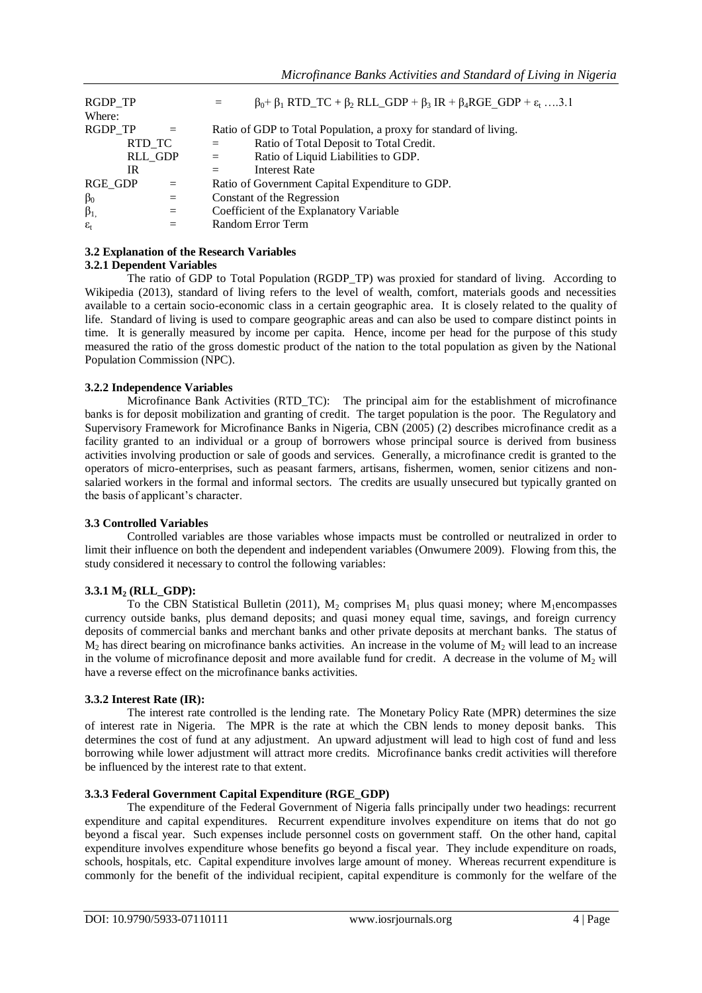| RGDP_TP<br>Where:        |         |     | $=$      | $\beta_0$ + $\beta_1$ RTD_TC + $\beta_2$ RLL_GDP + $\beta_3$ IR + $\beta_4$ RGE GDP + $\varepsilon_t$ 3.1 |
|--------------------------|---------|-----|----------|-----------------------------------------------------------------------------------------------------------|
|                          |         |     |          |                                                                                                           |
| RGDP TP                  |         |     |          | Ratio of GDP to Total Population, a proxy for standard of living.                                         |
|                          | RTD TC  |     | $\equiv$ | Ratio of Total Deposit to Total Credit.                                                                   |
|                          | RLL_GDP |     | $=$      | Ratio of Liquid Liabilities to GDP.                                                                       |
|                          | IR      |     |          | <b>Interest Rate</b>                                                                                      |
| RGE_GDP                  |         | $=$ |          | Ratio of Government Capital Expenditure to GDP.                                                           |
| $\beta_0$                |         | $=$ |          | Constant of the Regression                                                                                |
| $\beta_1$                |         | $=$ |          | Coefficient of the Explanatory Variable                                                                   |
| $\varepsilon_{\text{f}}$ |         |     |          | Random Error Term                                                                                         |

# **3.2 Explanation of the Research Variables**

# **3.2.1 Dependent Variables**

The ratio of GDP to Total Population (RGDP\_TP) was proxied for standard of living. According to Wikipedia (2013), standard of living refers to the level of wealth, comfort, materials goods and necessities available to a certain socio-economic class in a certain geographic area. It is closely related to the quality of life. Standard of living is used to compare geographic areas and can also be used to compare distinct points in time. It is generally measured by income per capita. Hence, income per head for the purpose of this study measured the ratio of the gross domestic product of the nation to the total population as given by the National Population Commission (NPC).

# **3.2.2 Independence Variables**

Microfinance Bank Activities (RTD TC): The principal aim for the establishment of microfinance banks is for deposit mobilization and granting of credit. The target population is the poor. The Regulatory and Supervisory Framework for Microfinance Banks in Nigeria, CBN (2005) (2) describes microfinance credit as a facility granted to an individual or a group of borrowers whose principal source is derived from business activities involving production or sale of goods and services. Generally, a microfinance credit is granted to the operators of micro-enterprises, such as peasant farmers, artisans, fishermen, women, senior citizens and nonsalaried workers in the formal and informal sectors. The credits are usually unsecured but typically granted on the basis of applicant's character.

#### **3.3 Controlled Variables**

Controlled variables are those variables whose impacts must be controlled or neutralized in order to limit their influence on both the dependent and independent variables (Onwumere 2009). Flowing from this, the study considered it necessary to control the following variables:

# **3.3.1 M<sup>2</sup> (RLL\_GDP):**

To the CBN Statistical Bulletin (2011),  $M_2$  comprises  $M_1$  plus quasi money; where  $M_1$ encompasses currency outside banks, plus demand deposits; and quasi money equal time, savings, and foreign currency deposits of commercial banks and merchant banks and other private deposits at merchant banks. The status of  $M<sub>2</sub>$  has direct bearing on microfinance banks activities. An increase in the volume of  $M<sub>2</sub>$  will lead to an increase in the volume of microfinance deposit and more available fund for credit. A decrease in the volume of  $M<sub>2</sub>$  will have a reverse effect on the microfinance banks activities.

#### **3.3.2 Interest Rate (IR):**

The interest rate controlled is the lending rate. The Monetary Policy Rate (MPR) determines the size of interest rate in Nigeria. The MPR is the rate at which the CBN lends to money deposit banks. This determines the cost of fund at any adjustment. An upward adjustment will lead to high cost of fund and less borrowing while lower adjustment will attract more credits. Microfinance banks credit activities will therefore be influenced by the interest rate to that extent.

# **3.3.3 Federal Government Capital Expenditure (RGE\_GDP)**

The expenditure of the Federal Government of Nigeria falls principally under two headings: recurrent expenditure and capital expenditures. Recurrent expenditure involves expenditure on items that do not go beyond a fiscal year. Such expenses include personnel costs on government staff. On the other hand, capital expenditure involves expenditure whose benefits go beyond a fiscal year. They include expenditure on roads, schools, hospitals, etc. Capital expenditure involves large amount of money. Whereas recurrent expenditure is commonly for the benefit of the individual recipient, capital expenditure is commonly for the welfare of the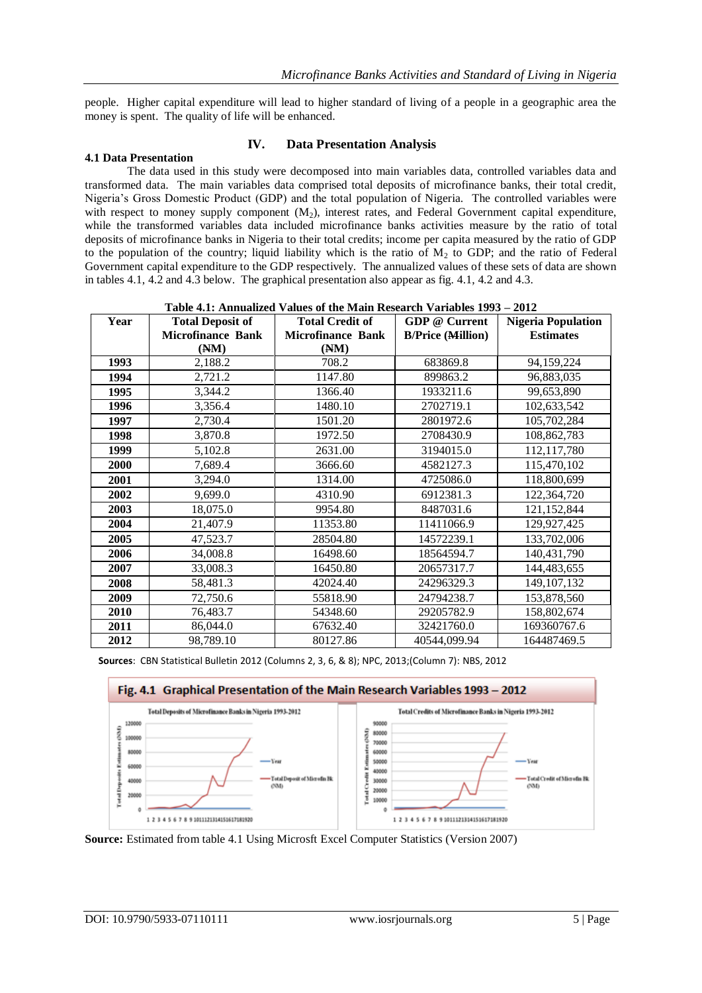people. Higher capital expenditure will lead to higher standard of living of a people in a geographic area the money is spent. The quality of life will be enhanced.

#### **4.1 Data Presentation**

# **IV. Data Presentation Analysis**

The data used in this study were decomposed into main variables data, controlled variables data and transformed data. The main variables data comprised total deposits of microfinance banks, their total credit, Nigeria's Gross Domestic Product (GDP) and the total population of Nigeria. The controlled variables were with respect to money supply component  $(M_2)$ , interest rates, and Federal Government capital expenditure, while the transformed variables data included microfinance banks activities measure by the ratio of total deposits of microfinance banks in Nigeria to their total credits; income per capita measured by the ratio of GDP to the population of the country; liquid liability which is the ratio of  $M<sub>2</sub>$  to GDP; and the ratio of Federal Government capital expenditure to the GDP respectively. The annualized values of these sets of data are shown in tables 4.1, 4.2 and 4.3 below. The graphical presentation also appear as fig. 4.1, 4.2 and 4.3.

| Table 4.1; Allinualized values of the Main Research variables $1993 - 2012$ |                          |                          |                          |                           |  |  |  |
|-----------------------------------------------------------------------------|--------------------------|--------------------------|--------------------------|---------------------------|--|--|--|
| Year                                                                        | <b>Total Deposit of</b>  | <b>Total Credit of</b>   | <b>GDP</b> @ Current     | <b>Nigeria Population</b> |  |  |  |
|                                                                             | <b>Microfinance Bank</b> | <b>Microfinance Bank</b> | <b>B/Price (Million)</b> | <b>Estimates</b>          |  |  |  |
|                                                                             | (MM)                     | (MM)                     |                          |                           |  |  |  |
| 1993                                                                        | 2,188.2                  | 708.2                    | 683869.8                 | 94, 159, 224              |  |  |  |
| 1994                                                                        | 2,721.2                  | 1147.80                  | 899863.2                 | 96,883,035                |  |  |  |
| 1995                                                                        | 3,344.2                  | 1366.40                  | 1933211.6                | 99,653,890                |  |  |  |
| 1996                                                                        | 3,356.4                  | 1480.10                  | 2702719.1                | 102,633,542               |  |  |  |
| 1997                                                                        | 2,730.4                  | 1501.20                  | 2801972.6                | 105,702,284               |  |  |  |
| 1998                                                                        | 3,870.8                  | 1972.50                  | 2708430.9                | 108,862,783               |  |  |  |
| 1999                                                                        | 5,102.8                  | 2631.00                  | 3194015.0                | 112, 117, 780             |  |  |  |
| 2000                                                                        | 7,689.4                  | 3666.60                  | 4582127.3                | 115,470,102               |  |  |  |
| 2001                                                                        | 3,294.0                  | 1314.00                  | 4725086.0                | 118,800,699               |  |  |  |
| 2002                                                                        | 9,699.0                  | 4310.90                  | 6912381.3                | 122,364,720               |  |  |  |
| 2003                                                                        | 18,075.0                 | 9954.80                  | 8487031.6                | 121,152,844               |  |  |  |
| 2004                                                                        | 21,407.9                 | 11353.80                 | 11411066.9               | 129,927,425               |  |  |  |
| 2005                                                                        | 47,523.7                 | 28504.80                 | 14572239.1               | 133,702,006               |  |  |  |
| 2006                                                                        | 34,008.8                 | 16498.60                 | 18564594.7               | 140,431,790               |  |  |  |
| 2007                                                                        | 33,008.3                 | 16450.80                 | 20657317.7               | 144,483,655               |  |  |  |
| 2008                                                                        | 58,481.3                 | 42024.40                 | 24296329.3               | 149, 107, 132             |  |  |  |
| 2009                                                                        | 72,750.6                 | 55818.90                 | 24794238.7               | 153,878,560               |  |  |  |
| 2010                                                                        | 76,483.7                 | 54348.60                 | 29205782.9               | 158,802,674               |  |  |  |
| 2011                                                                        | 86,044.0                 | 67632.40                 | 32421760.0               | 169360767.6               |  |  |  |
| 2012                                                                        | 98,789.10                | 80127.86                 | 40544,099.94             | 164487469.5               |  |  |  |

**Table 4.1: Annualized Values of the Main Research Variables 1993 – 2012**

**Sources**: CBN Statistical Bulletin 2012 (Columns 2, 3, 6, & 8); NPC, 2013;(Column 7): NBS, 2012



**Source:** Estimated from table 4.1 Using Microsft Excel Computer Statistics (Version 2007)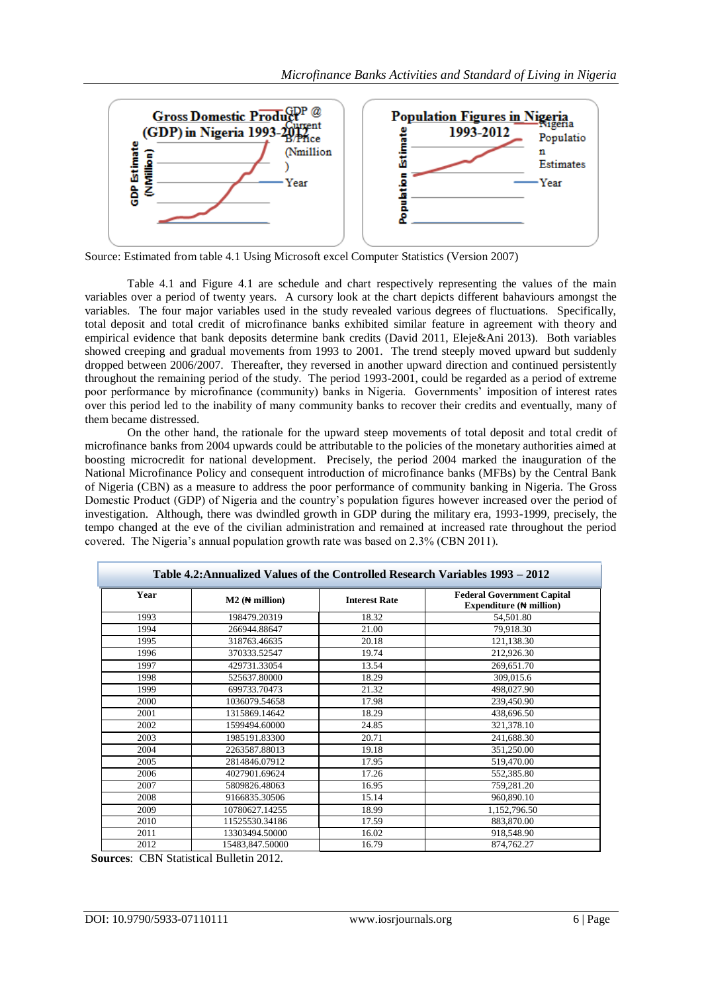

Source: Estimated from table 4.1 Using Microsoft excel Computer Statistics (Version 2007)

Table 4.1 and Figure 4.1 are schedule and chart respectively representing the values of the main variables over a period of twenty years. A cursory look at the chart depicts different bahaviours amongst the variables. The four major variables used in the study revealed various degrees of fluctuations. Specifically, total deposit and total credit of microfinance banks exhibited similar feature in agreement with theory and empirical evidence that bank deposits determine bank credits (David 2011, Eleje&Ani 2013). Both variables showed creeping and gradual movements from 1993 to 2001. The trend steeply moved upward but suddenly dropped between 2006/2007. Thereafter, they reversed in another upward direction and continued persistently throughout the remaining period of the study. The period 1993-2001, could be regarded as a period of extreme poor performance by microfinance (community) banks in Nigeria. Governments' imposition of interest rates over this period led to the inability of many community banks to recover their credits and eventually, many of them became distressed.

On the other hand, the rationale for the upward steep movements of total deposit and total credit of microfinance banks from 2004 upwards could be attributable to the policies of the monetary authorities aimed at boosting microcredit for national development. Precisely, the period 2004 marked the inauguration of the National Microfinance Policy and consequent introduction of microfinance banks (MFBs) by the Central Bank of Nigeria (CBN) as a measure to address the poor performance of community banking in Nigeria. The Gross Domestic Product (GDP) of Nigeria and the country's population figures however increased over the period of investigation. Although, there was dwindled growth in GDP during the military era, 1993-1999, precisely, the tempo changed at the eve of the civilian administration and remained at increased rate throughout the period covered. The Nigeria's annual population growth rate was based on 2.3% (CBN 2011).

|      | Table 4.2: Annualized Values of the Controlled Research Variables 1993 – 2012 |                      |                                                                        |
|------|-------------------------------------------------------------------------------|----------------------|------------------------------------------------------------------------|
| Year | $M2$ ( $\leftrightarrow$ million)                                             | <b>Interest Rate</b> | <b>Federal Government Capital</b><br>Expenditure $(\bigstar\$ million) |
| 1993 | 198479.20319                                                                  | 18.32                | 54,501.80                                                              |
| 1994 | 266944.88647                                                                  | 21.00                | 79,918.30                                                              |
| 1995 | 318763.46635                                                                  | 20.18                | 121,138.30                                                             |
| 1996 | 370333.52547                                                                  | 19.74                | 212,926.30                                                             |
| 1997 | 429731.33054                                                                  | 13.54                | 269,651.70                                                             |
| 1998 | 525637.80000                                                                  | 18.29                | 309,015.6                                                              |
| 1999 | 699733.70473                                                                  | 21.32                | 498,027.90                                                             |
| 2000 | 1036079.54658                                                                 | 17.98                | 239,450.90                                                             |
| 2001 | 1315869.14642                                                                 | 18.29                | 438,696.50                                                             |
| 2002 | 1599494.60000                                                                 | 24.85                | 321,378.10                                                             |
| 2003 | 1985191.83300                                                                 | 20.71                | 241,688.30                                                             |
| 2004 | 2263587.88013                                                                 | 19.18                | 351,250.00                                                             |
| 2005 | 2814846.07912                                                                 | 17.95                | 519,470.00                                                             |
| 2006 | 4027901.69624                                                                 | 17.26                | 552,385.80                                                             |
| 2007 | 5809826.48063                                                                 | 16.95                | 759,281.20                                                             |
| 2008 | 9166835.30506                                                                 | 15.14                | 960,890.10                                                             |
| 2009 | 10780627.14255                                                                | 18.99                | 1,152,796.50                                                           |
| 2010 | 11525530.34186                                                                | 17.59                | 883,870.00                                                             |
| 2011 | 13303494.50000                                                                | 16.02                | 918,548.90                                                             |
| 2012 | 15483,847.50000                                                               | 16.79                | 874,762.27                                                             |

 **Sources**: CBN Statistical Bulletin 2012.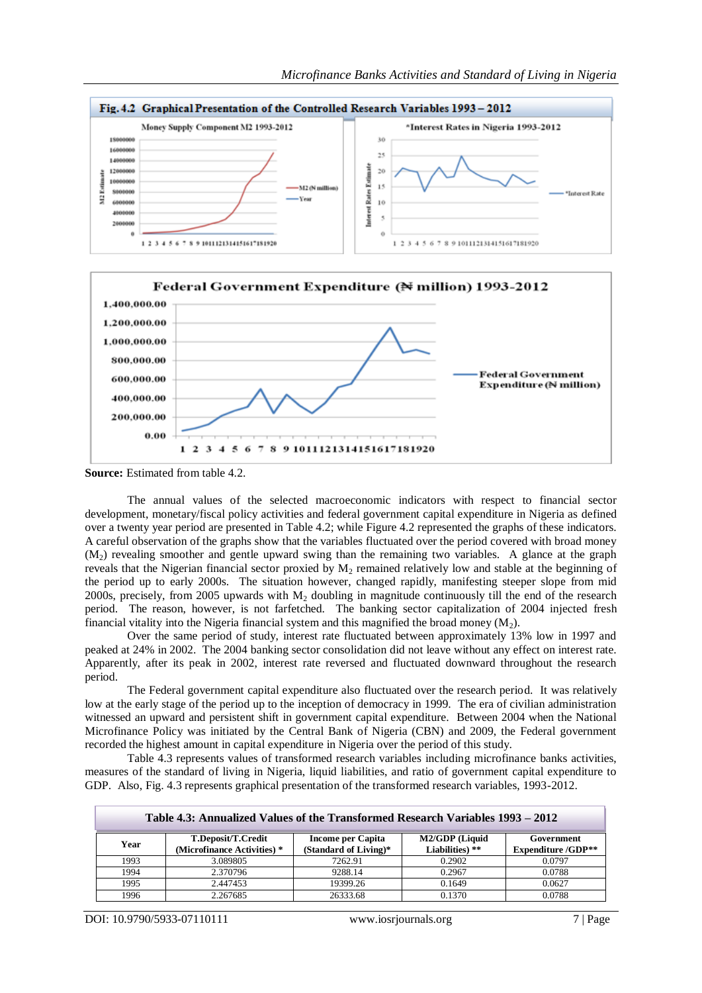



**Source:** Estimated from table 4.2.

The annual values of the selected macroeconomic indicators with respect to financial sector development, monetary/fiscal policy activities and federal government capital expenditure in Nigeria as defined over a twenty year period are presented in Table 4.2; while Figure 4.2 represented the graphs of these indicators. A careful observation of the graphs show that the variables fluctuated over the period covered with broad money (M2) revealing smoother and gentle upward swing than the remaining two variables. A glance at the graph reveals that the Nigerian financial sector proxied by  $M_2$  remained relatively low and stable at the beginning of the period up to early 2000s. The situation however, changed rapidly, manifesting steeper slope from mid 2000s, precisely, from 2005 upwards with  $M<sub>2</sub>$  doubling in magnitude continuously till the end of the research period. The reason, however, is not farfetched. The banking sector capitalization of 2004 injected fresh financial vitality into the Nigeria financial system and this magnified the broad money  $(M_2)$ .

Over the same period of study, interest rate fluctuated between approximately 13% low in 1997 and peaked at 24% in 2002. The 2004 banking sector consolidation did not leave without any effect on interest rate. Apparently, after its peak in 2002, interest rate reversed and fluctuated downward throughout the research period.

The Federal government capital expenditure also fluctuated over the research period. It was relatively low at the early stage of the period up to the inception of democracy in 1999. The era of civilian administration witnessed an upward and persistent shift in government capital expenditure. Between 2004 when the National Microfinance Policy was initiated by the Central Bank of Nigeria (CBN) and 2009, the Federal government recorded the highest amount in capital expenditure in Nigeria over the period of this study.

Table 4.3 represents values of transformed research variables including microfinance banks activities, measures of the standard of living in Nigeria, liquid liabilities, and ratio of government capital expenditure to GDP. Also, Fig. 4.3 represents graphical presentation of the transformed research variables, 1993-2012.

|      | Table 4.3: Annualized Values of the Transformed Research Variables 1993 – 2012 |                                            |                                   |                                         |  |  |  |
|------|--------------------------------------------------------------------------------|--------------------------------------------|-----------------------------------|-----------------------------------------|--|--|--|
| Year | T.Deposit/T.Credit<br>(Microfinance Activities) *                              | Income per Capita<br>(Standard of Living)* | M2/GDP (Liquid<br>Liabilities) ** | Government<br><b>Expenditure /GDP**</b> |  |  |  |
| 1993 | 3.089805                                                                       | 7262.91                                    | 0.2902                            | 0.0797                                  |  |  |  |
| 1994 | 2.370796                                                                       | 9288.14                                    | 0.2967                            | 0.0788                                  |  |  |  |
| 1995 | 2.447453                                                                       | 19399.26                                   | 0.1649                            | 0.0627                                  |  |  |  |
| 1996 | 2.267685                                                                       | 26333.68                                   | 0.1370                            | 0.0788                                  |  |  |  |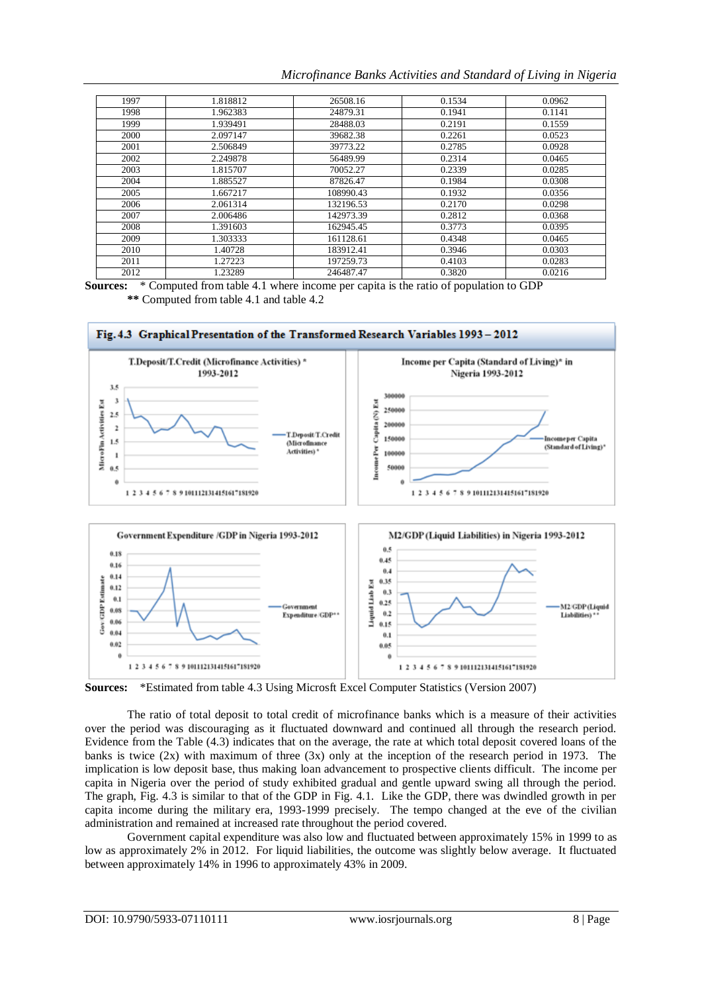*Microfinance Banks Activities and Standard of Living in Nigeria*

| 1997 | 1.818812 | 26508.16  | 0.1534 | 0.0962 |
|------|----------|-----------|--------|--------|
| 1998 | 1.962383 | 24879.31  | 0.1941 | 0.1141 |
| 1999 | 1.939491 | 28488.03  | 0.2191 | 0.1559 |
| 2000 | 2.097147 | 39682.38  | 0.2261 | 0.0523 |
| 2001 | 2.506849 | 39773.22  | 0.2785 | 0.0928 |
| 2002 | 2.249878 | 56489.99  | 0.2314 | 0.0465 |
| 2003 | 1.815707 | 70052.27  | 0.2339 | 0.0285 |
| 2004 | 1.885527 | 87826.47  | 0.1984 | 0.0308 |
| 2005 | 1.667217 | 108990.43 | 0.1932 | 0.0356 |
| 2006 | 2.061314 | 132196.53 | 0.2170 | 0.0298 |
| 2007 | 2.006486 | 142973.39 | 0.2812 | 0.0368 |
| 2008 | 1.391603 | 162945.45 | 0.3773 | 0.0395 |
| 2009 | 1.303333 | 161128.61 | 0.4348 | 0.0465 |
| 2010 | 1.40728  | 183912.41 | 0.3946 | 0.0303 |
| 2011 | 1.27223  | 197259.73 | 0.4103 | 0.0283 |
| 2012 | 1.23289  | 246487.47 | 0.3820 | 0.0216 |

**Sources:** \* Computed from table 4.1 where income per capita is the ratio of population to GDP **\*\*** Computed from table 4.1 and table 4.2



**Sources:** \*Estimated from table 4.3 Using Microsft Excel Computer Statistics (Version 2007)

The ratio of total deposit to total credit of microfinance banks which is a measure of their activities over the period was discouraging as it fluctuated downward and continued all through the research period. Evidence from the Table (4.3) indicates that on the average, the rate at which total deposit covered loans of the banks is twice  $(2x)$  with maximum of three  $(3x)$  only at the inception of the research period in 1973. The implication is low deposit base, thus making loan advancement to prospective clients difficult. The income per capita in Nigeria over the period of study exhibited gradual and gentle upward swing all through the period. The graph, Fig. 4.3 is similar to that of the GDP in Fig. 4.1. Like the GDP, there was dwindled growth in per capita income during the military era, 1993-1999 precisely. The tempo changed at the eve of the civilian administration and remained at increased rate throughout the period covered.

Government capital expenditure was also low and fluctuated between approximately 15% in 1999 to as low as approximately 2% in 2012. For liquid liabilities, the outcome was slightly below average. It fluctuated between approximately 14% in 1996 to approximately 43% in 2009.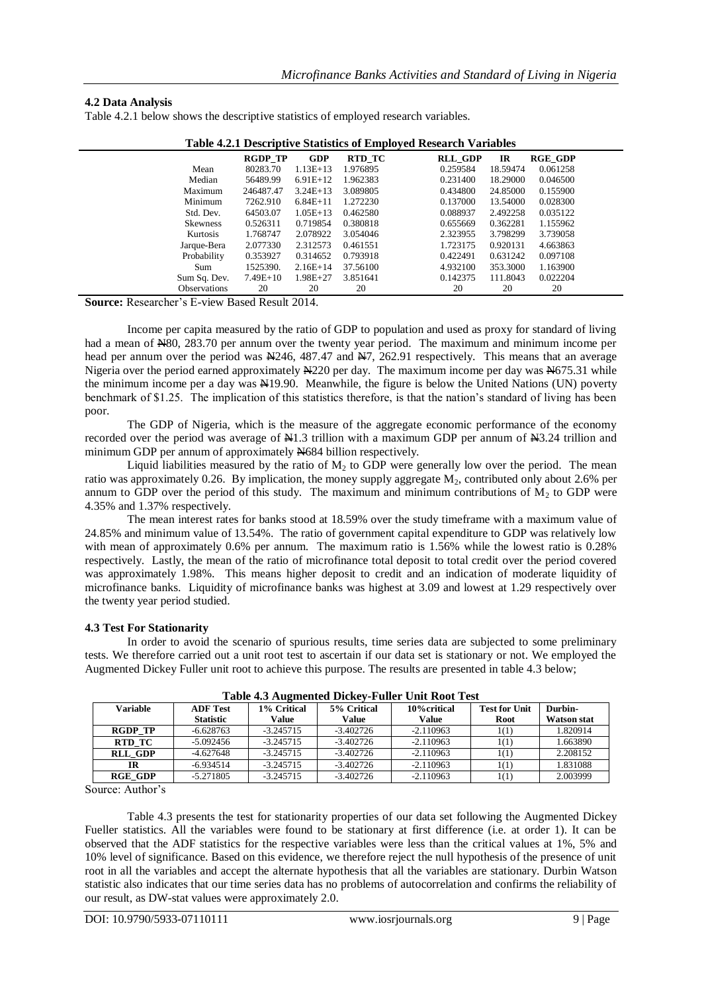#### **4.2 Data Analysis**

|  |  | Table 4.2.1 below shows the descriptive statistics of employed research variables. |
|--|--|------------------------------------------------------------------------------------|
|  |  |                                                                                    |

| Table 4.2.1 Descriptive Statistics of Employed Research Variables |                |              |          |                                        |  |  |  |
|-------------------------------------------------------------------|----------------|--------------|----------|----------------------------------------|--|--|--|
|                                                                   | <b>RGDP TP</b> | <b>GDP</b>   | RTD TC   | <b>RLL GDP</b><br><b>RGE GDP</b><br>IR |  |  |  |
| Mean                                                              | 80283.70       | $1.13E+13$   | 1.976895 | 0.259584<br>18.59474<br>0.061258       |  |  |  |
| Median                                                            | 56489.99       | $6.91E+12$   | 1.962383 | 0.231400<br>18.29000<br>0.046500       |  |  |  |
| Maximum                                                           | 246487.47      | $3.24E+13$   | 3.089805 | 0.434800<br>24.85000<br>0.155900       |  |  |  |
| Minimum                                                           | 7262.910       | $6.84E+11$   | 1.272230 | 0.137000<br>13.54000<br>0.028300       |  |  |  |
| Std. Dev.                                                         | 64503.07       | $1.05E+13$   | 0.462580 | 0.088937<br>2.492258<br>0.035122       |  |  |  |
| <b>Skewness</b>                                                   | 0.526311       | 0.719854     | 0.380818 | 0.655669<br>0.362281<br>1.155962       |  |  |  |
| Kurtosis                                                          | 1.768747       | 2.078922     | 3.054046 | 2.323955<br>3.798299<br>3.739058       |  |  |  |
| Jarque-Bera                                                       | 2.077330       | 2.312573     | 0.461551 | 1.723175<br>4.663863<br>0.920131       |  |  |  |
| Probability                                                       | 0.353927       | 0.314652     | 0.793918 | 0.422491<br>0.631242<br>0.097108       |  |  |  |
| Sum                                                               | 1525390.       | $2.16E+14$   | 37.56100 | 353.3000<br>1.163900<br>4.932100       |  |  |  |
| Sum Sq. Dev.                                                      | $7.49E+10$     | $1.98E + 27$ | 3.851641 | 0.142375<br>0.022204<br>111.8043       |  |  |  |
| <b>Observations</b>                                               | 20             | 20           | 20       | 20<br>20<br>20                         |  |  |  |

| Table 4.2.1 Descriptive Statistics of Employed Research Variables |  |  |  |
|-------------------------------------------------------------------|--|--|--|

**Source:** Researcher's E-view Based Result 2014.

Income per capita measured by the ratio of GDP to population and used as proxy for standard of living had a mean of N80, 283.70 per annum over the twenty year period. The maximum and minimum income per head per annum over the period was N246, 487.47 and N7, 262.91 respectively. This means that an average Nigeria over the period earned approximately N220 per day. The maximum income per day was N675.31 while the minimum income per a day was N19.90. Meanwhile, the figure is below the United Nations (UN) poverty benchmark of \$1.25. The implication of this statistics therefore, is that the nation's standard of living has been poor.

The GDP of Nigeria, which is the measure of the aggregate economic performance of the economy recorded over the period was average of N1.3 trillion with a maximum GDP per annum of N3.24 trillion and minimum GDP per annum of approximately N684 billion respectively.

Liquid liabilities measured by the ratio of  $M<sub>2</sub>$  to GDP were generally low over the period. The mean ratio was approximately 0.26. By implication, the money supply aggregate  $M_2$ , contributed only about 2.6% per annum to GDP over the period of this study. The maximum and minimum contributions of  $M_2$  to GDP were 4.35% and 1.37% respectively.

The mean interest rates for banks stood at 18.59% over the study timeframe with a maximum value of 24.85% and minimum value of 13.54%. The ratio of government capital expenditure to GDP was relatively low with mean of approximately 0.6% per annum. The maximum ratio is 1.56% while the lowest ratio is 0.28% respectively. Lastly, the mean of the ratio of microfinance total deposit to total credit over the period covered was approximately 1.98%. This means higher deposit to credit and an indication of moderate liquidity of microfinance banks. Liquidity of microfinance banks was highest at 3.09 and lowest at 1.29 respectively over the twenty year period studied.

#### **4.3 Test For Stationarity**

In order to avoid the scenario of spurious results, time series data are subjected to some preliminary tests. We therefore carried out a unit root test to ascertain if our data set is stationary or not. We employed the Augmented Dickey Fuller unit root to achieve this purpose. The results are presented in table 4.3 below;

|                 | Table 4.5 Augmented Dickey-Fuller Unit Root Test |             |             |              |                      |                    |  |  |  |
|-----------------|--------------------------------------------------|-------------|-------------|--------------|----------------------|--------------------|--|--|--|
| <b>Variable</b> | <b>ADF Test</b>                                  | 1% Critical | 5% Critical | 10% critical | <b>Test for Unit</b> | Durbin-            |  |  |  |
|                 | <b>Statistic</b>                                 | Value       | Value       | Value        | Root                 | <b>Watson stat</b> |  |  |  |
| <b>RGDP TP</b>  | $-6.628763$                                      | $-3.245715$ | $-3.402726$ | $-2.110963$  | 1(1)                 | 1.820914           |  |  |  |
| RTD TC          | $-5.092456$                                      | $-3.245715$ | $-3.402726$ | $-2.110963$  | 1(1)                 | 1.663890           |  |  |  |
| <b>RLL GDP</b>  | $-4.627648$                                      | $-3.245715$ | $-3.402726$ | $-2.110963$  | 1(1)                 | 2.208152           |  |  |  |
| IR              | $-6.934514$                                      | $-3.245715$ | $-3.402726$ | $-2.110963$  | 1(1)                 | 1.831088           |  |  |  |
| <b>RGE GDP</b>  | $-5.271805$                                      | $-3.245715$ | $-3.402726$ | $-2.110963$  | 1(1)                 | 2.003999           |  |  |  |

| Table 4.3 Augmented Dickey-Fuller Unit Root Test |  |
|--------------------------------------------------|--|
|--------------------------------------------------|--|

Source: Author's

Table 4.3 presents the test for stationarity properties of our data set following the Augmented Dickey Fueller statistics. All the variables were found to be stationary at first difference (i.e. at order 1). It can be observed that the ADF statistics for the respective variables were less than the critical values at 1%, 5% and 10% level of significance. Based on this evidence, we therefore reject the null hypothesis of the presence of unit root in all the variables and accept the alternate hypothesis that all the variables are stationary. Durbin Watson statistic also indicates that our time series data has no problems of autocorrelation and confirms the reliability of our result, as DW-stat values were approximately 2.0.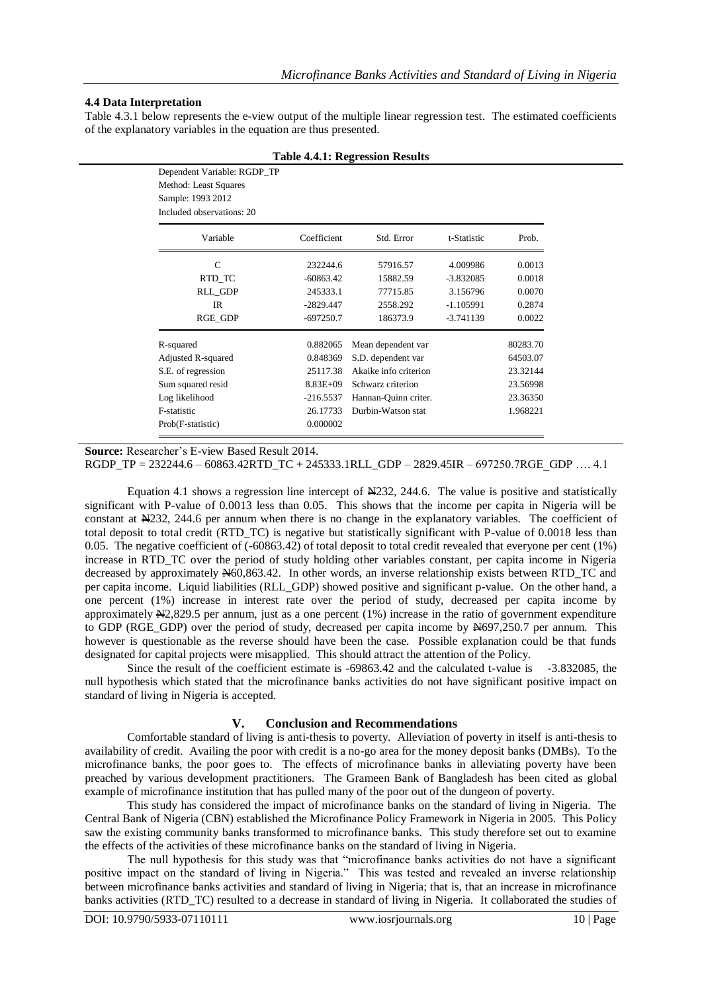#### **4.4 Data Interpretation**

Dependent Variable: RGDP\_TP

Table 4.3.1 below represents the e-view output of the multiple linear regression test. The estimated coefficients of the explanatory variables in the equation are thus presented.

| $Bepenacht + antaoite$ . $RQD1$<br>Method: Least Squares<br>Sample: 1993 2012 |              |                       |             |          |  |  |  |
|-------------------------------------------------------------------------------|--------------|-----------------------|-------------|----------|--|--|--|
| Included observations: 20                                                     |              |                       |             |          |  |  |  |
| Variable                                                                      | Coefficient  | Std. Error            | t-Statistic | Prob.    |  |  |  |
| $\mathcal{C}$                                                                 | 232244.6     | 57916.57              | 4.009986    | 0.0013   |  |  |  |
| RTD_TC                                                                        | $-60863.42$  | 15882.59              | $-3.832085$ | 0.0018   |  |  |  |
| <b>RLL GDP</b>                                                                | 245333.1     | 77715.85              | 3.156796    | 0.0070   |  |  |  |
| IR                                                                            | $-2829.447$  | 2558.292              | $-1.105991$ | 0.2874   |  |  |  |
| RGE_GDP                                                                       | $-697250.7$  | 186373.9              | $-3.741139$ | 0.0022   |  |  |  |
| R-squared                                                                     | 0.882065     | Mean dependent var    |             | 80283.70 |  |  |  |
| Adjusted R-squared                                                            | 0.848369     | S.D. dependent var    |             | 64503.07 |  |  |  |
| S.E. of regression                                                            | 25117.38     | Akaike info criterion |             | 23.32144 |  |  |  |
| Sum squared resid                                                             | $8.83E + 09$ | Schwarz criterion     |             | 23.56998 |  |  |  |
| Log likelihood                                                                | $-216.5537$  | Hannan-Quinn criter.  |             | 23.36350 |  |  |  |
| F-statistic                                                                   | 26.17733     | Durbin-Watson stat    |             | 1.968221 |  |  |  |
| Prob(F-statistic)                                                             | 0.000002     |                       |             |          |  |  |  |

#### **Table 4.4.1: Regression Results**

**Source:** Researcher's E-view Based Result 2014.

RGDP\_TP = 232244.6 – 60863.42RTD\_TC + 245333.1RLL\_GDP – 2829.45IR – 697250.7RGE\_GDP …. 4.1

Equation 4.1 shows a regression line intercept of N232, 244.6. The value is positive and statistically significant with P-value of 0.0013 less than 0.05. This shows that the income per capita in Nigeria will be constant at N232, 244.6 per annum when there is no change in the explanatory variables. The coefficient of total deposit to total credit (RTD\_TC) is negative but statistically significant with P-value of 0.0018 less than 0.05. The negative coefficient of (-60863.42) of total deposit to total credit revealed that everyone per cent (1%) increase in RTD\_TC over the period of study holding other variables constant, per capita income in Nigeria decreased by approximately N60,863.42. In other words, an inverse relationship exists between RTD\_TC and per capita income. Liquid liabilities (RLL\_GDP) showed positive and significant p-value. On the other hand, a one percent (1%) increase in interest rate over the period of study, decreased per capita income by approximately N2,829.5 per annum, just as a one percent (1%) increase in the ratio of government expenditure to GDP (RGE\_GDP) over the period of study, decreased per capita income by N697,250.7 per annum. This however is questionable as the reverse should have been the case. Possible explanation could be that funds designated for capital projects were misapplied. This should attract the attention of the Policy.

Since the result of the coefficient estimate is -69863.42 and the calculated t-value is -3.832085, the null hypothesis which stated that the microfinance banks activities do not have significant positive impact on standard of living in Nigeria is accepted.

#### **V. Conclusion and Recommendations**

Comfortable standard of living is anti-thesis to poverty. Alleviation of poverty in itself is anti-thesis to availability of credit. Availing the poor with credit is a no-go area for the money deposit banks (DMBs). To the microfinance banks, the poor goes to. The effects of microfinance banks in alleviating poverty have been preached by various development practitioners. The Grameen Bank of Bangladesh has been cited as global example of microfinance institution that has pulled many of the poor out of the dungeon of poverty.

This study has considered the impact of microfinance banks on the standard of living in Nigeria. The Central Bank of Nigeria (CBN) established the Microfinance Policy Framework in Nigeria in 2005. This Policy saw the existing community banks transformed to microfinance banks. This study therefore set out to examine the effects of the activities of these microfinance banks on the standard of living in Nigeria.

The null hypothesis for this study was that "microfinance banks activities do not have a significant positive impact on the standard of living in Nigeria." This was tested and revealed an inverse relationship between microfinance banks activities and standard of living in Nigeria; that is, that an increase in microfinance banks activities (RTD\_TC) resulted to a decrease in standard of living in Nigeria. It collaborated the studies of